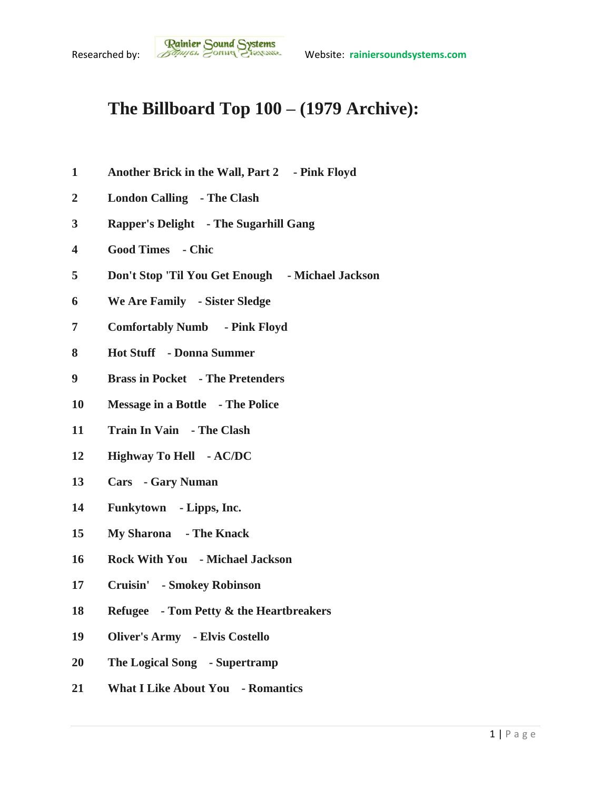## **The Billboard Top 100 – (1979 Archive):**

- **Another Brick in the Wall, Part 2 - Pink Floyd**
- **London Calling - The Clash**
- **Rapper's Delight - The Sugarhill Gang**
- **Good Times - Chic**
- **Don't Stop 'Til You Get Enough - Michael Jackson**
- **We Are Family - Sister Sledge**
- **Comfortably Numb - Pink Floyd**
- **Hot Stuff - Donna Summer**
- **Brass in Pocket - The Pretenders**
- **Message in a Bottle - The Police**
- **Train In Vain - The Clash**
- **Highway To Hell - AC/DC**
- **Cars - Gary Numan**
- **Funkytown - Lipps, Inc.**
- **My Sharona - The Knack**
- **Rock With You - Michael Jackson**
- **Cruisin' - Smokey Robinson**
- **Refugee - Tom Petty & the Heartbreakers**
- **Oliver's Army - Elvis Costello**
- **The Logical Song - Supertramp**
- **What I Like About You - Romantics**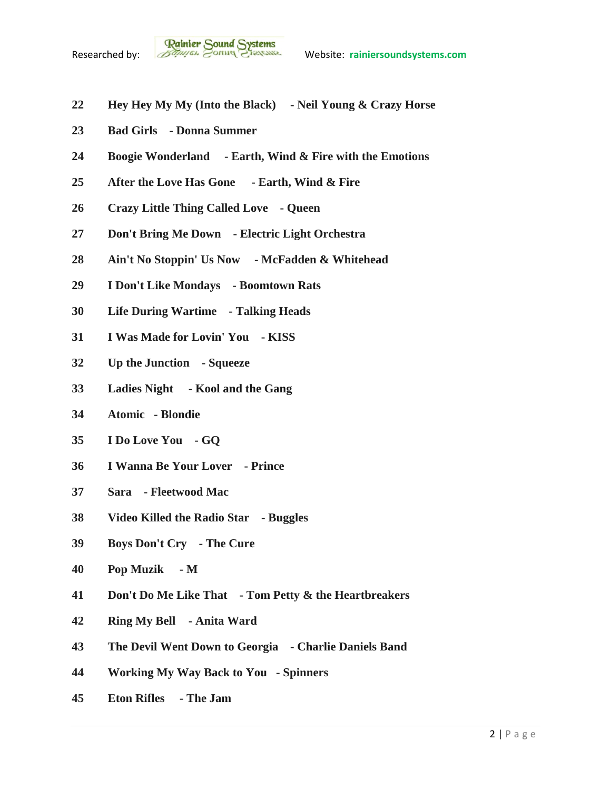- **Hey Hey My My (Into the Black) - Neil Young & Crazy Horse**
- **Bad Girls - Donna Summer**
- **Boogie Wonderland - Earth, Wind & Fire with the Emotions**
- **After the Love Has Gone - Earth, Wind & Fire**
- **Crazy Little Thing Called Love - Queen**
- **Don't Bring Me Down - Electric Light Orchestra**
- **Ain't No Stoppin' Us Now - McFadden & Whitehead**
- **I Don't Like Mondays - Boomtown Rats**
- **Life During Wartime - Talking Heads**
- **I Was Made for Lovin' You - KISS**
- **Up the Junction - Squeeze**
- **Ladies Night - Kool and the Gang**
- **Atomic - Blondie**
- **I Do Love You - GQ**
- **I Wanna Be Your Lover - Prince**
- **Sara - Fleetwood Mac**
- **Video Killed the Radio Star - Buggles**
- **Boys Don't Cry - The Cure**
- **Pop Muzik - M**
- **Don't Do Me Like That - Tom Petty & the Heartbreakers**
- **Ring My Bell - Anita Ward**
- **The Devil Went Down to Georgia - Charlie Daniels Band**
- **Working My Way Back to You - Spinners**
- **Eton Rifles - The Jam**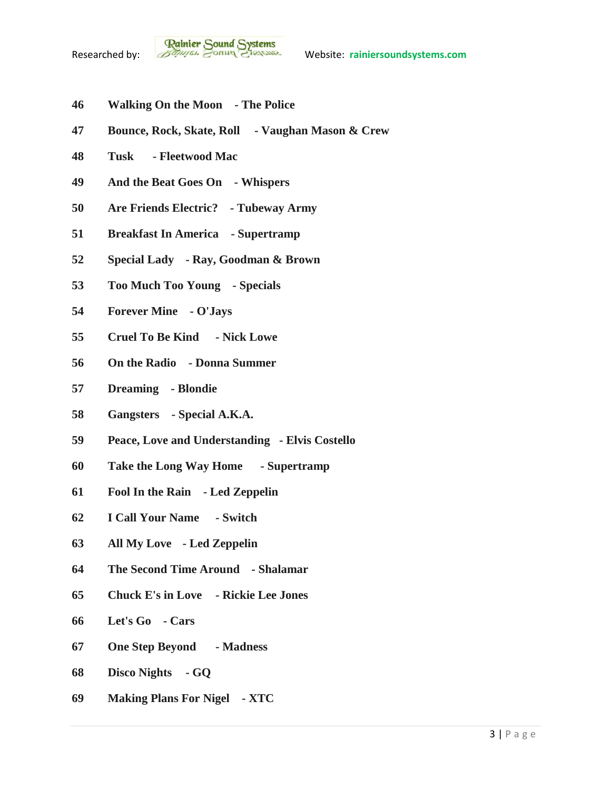

- **Walking On the Moon - The Police**
- **Bounce, Rock, Skate, Roll - Vaughan Mason & Crew**
- **Tusk - Fleetwood Mac**
- **And the Beat Goes On - Whispers**
- **Are Friends Electric? - Tubeway Army**
- **Breakfast In America - Supertramp**
- **Special Lady - Ray, Goodman & Brown**
- **Too Much Too Young - Specials**
- **Forever Mine - O'Jays**
- **Cruel To Be Kind - Nick Lowe**
- **On the Radio - Donna Summer**
- **Dreaming - Blondie**
- **Gangsters - Special A.K.A.**
- **Peace, Love and Understanding - Elvis Costello**
- **Take the Long Way Home - Supertramp**
- **Fool In the Rain - Led Zeppelin**
- **I Call Your Name - Switch**
- **All My Love - Led Zeppelin**
- **The Second Time Around - Shalamar**
- **Chuck E's in Love - Rickie Lee Jones**
- **Let's Go - Cars**
- **One Step Beyond - Madness**
- **Disco Nights - GQ**
- **Making Plans For Nigel - XTC**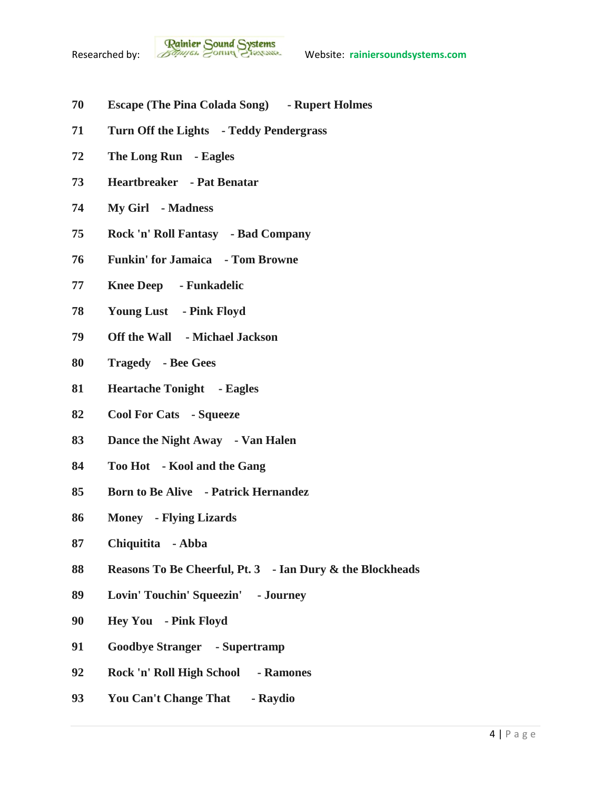- **Escape (The Pina Colada Song) - Rupert Holmes**
- **Turn Off the Lights - Teddy Pendergrass**
- **The Long Run - Eagles**
- **Heartbreaker - Pat Benatar**
- **My Girl - Madness**
- **Rock 'n' Roll Fantasy - Bad Company**
- **Funkin' for Jamaica - Tom Browne**
- **Knee Deep - Funkadelic**
- **Young Lust - Pink Floyd**
- **Off the Wall - Michael Jackson**
- **Tragedy - Bee Gees**
- **Heartache Tonight - Eagles**
- **Cool For Cats - Squeeze**
- **Dance the Night Away - Van Halen**
- **Too Hot - Kool and the Gang**
- **Born to Be Alive - Patrick Hernandez**
- **Money - Flying Lizards**
- **Chiquitita - Abba**
- **Reasons To Be Cheerful, Pt. 3 - Ian Dury & the Blockheads**
- **Lovin' Touchin' Squeezin' - Journey**
- **Hey You - Pink Floyd**
- **Goodbye Stranger - Supertramp**
- **Rock 'n' Roll High School - Ramones**
- **You Can't Change That - Raydio**